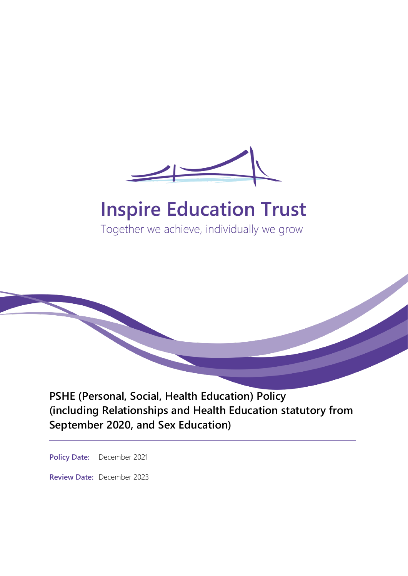

# **Inspire Education Trust**

Together we achieve, individually we grow

**PSHE (Personal, Social, Health Education) Policy (including Relationships and Health Education statutory from September 2020, and Sex Education)**

**Policy Date:** December 2021

**Review Date:** December 2023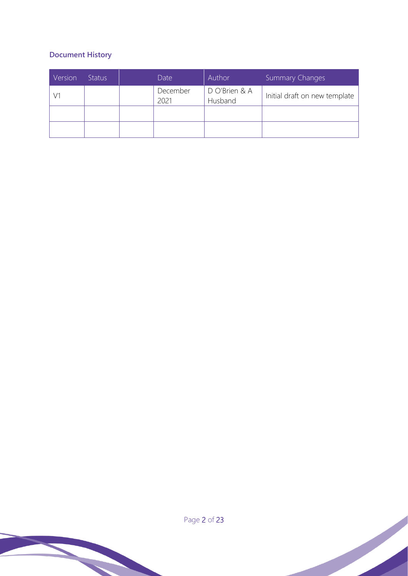## **Document History**

| Version | <b>Status</b> | Date             | Author                   | <b>Summary Changes</b>        |
|---------|---------------|------------------|--------------------------|-------------------------------|
|         |               | December<br>2021 | D O'Brien & A<br>Husband | Initial draft on new template |
|         |               |                  |                          |                               |
|         |               |                  |                          |                               |

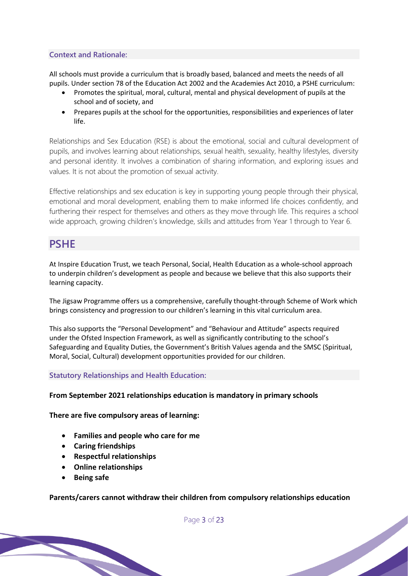#### **Context and Rationale:**

All schools must provide a curriculum that is broadly based, balanced and meets the needs of all pupils. Under section 78 of the Education Act 2002 and the Academies Act 2010, a PSHE curriculum:

- Promotes the spiritual, moral, cultural, mental and physical development of pupils at the school and of society, and
- Prepares pupils at the school for the opportunities, responsibilities and experiences of later life.

Relationships and Sex Education (RSE) is about the emotional, social and cultural development of pupils, and involves learning about relationships, sexual health, sexuality, healthy lifestyles, diversity and personal identity. It involves a combination of sharing information, and exploring issues and values. It is not about the promotion of sexual activity.

Effective relationships and sex education is key in supporting young people through their physical, emotional and moral development, enabling them to make informed life choices confidently, and furthering their respect for themselves and others as they move through life. This requires a school wide approach, growing children's knowledge, skills and attitudes from Year 1 through to Year 6.

# **PSHE**

At Inspire Education Trust, we teach Personal, Social, Health Education as a whole-school approach to underpin children's development as people and because we believe that this also supports their learning capacity.

The Jigsaw Programme offers us a comprehensive, carefully thought-through Scheme of Work which brings consistency and progression to our children's learning in this vital curriculum area.

This also supports the "Personal Development" and "Behaviour and Attitude" aspects required under the Ofsted Inspection Framework, as well as significantly contributing to the school's Safeguarding and Equality Duties, the Government's British Values agenda and the SMSC (Spiritual, Moral, Social, Cultural) development opportunities provided for our children.

#### **Statutory Relationships and Health Education:**

#### **From September 2021 relationships education is mandatory in primary schools**

**There are five compulsory areas of learning:**

- **Families and people who care for me**
- **Caring friendships**
- **Respectful relationships**
- **Online relationships**
- **Being safe**

#### **Parents/carers cannot withdraw their children from compulsory relationships education**

Page 3 of 23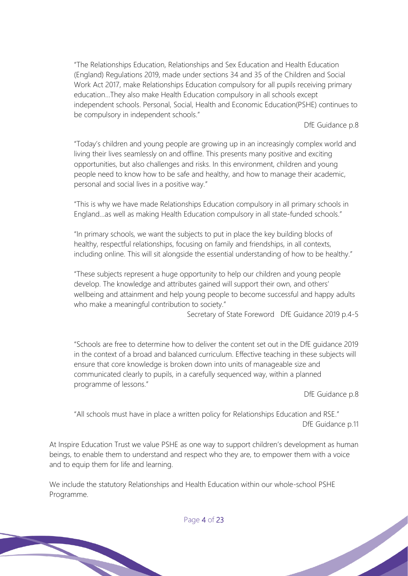"The Relationships Education, Relationships and Sex Education and Health Education (England) Regulations 2019, made under sections 34 and 35 of the Children and Social Work Act 2017, make Relationships Education compulsory for all pupils receiving primary education…They also make Health Education compulsory in all schools except independent schools. Personal, Social, Health and Economic Education(PSHE) continues to be compulsory in independent schools."

DfE Guidance p.8

"Today's children and young people are growing up in an increasingly complex world and living their lives seamlessly on and offline. This presents many positive and exciting opportunities, but also challenges and risks. In this environment, children and young people need to know how to be safe and healthy, and how to manage their academic, personal and social lives in a positive way."

"This is why we have made Relationships Education compulsory in all primary schools in England…as well as making Health Education compulsory in all state-funded schools."

"In primary schools, we want the subjects to put in place the key building blocks of healthy, respectful relationships, focusing on family and friendships, in all contexts, including online. This will sit alongside the essential understanding of how to be healthy."

"These subjects represent a huge opportunity to help our children and young people develop. The knowledge and attributes gained will support their own, and others' wellbeing and attainment and help young people to become successful and happy adults who make a meaningful contribution to society."

Secretary of State Foreword DfE Guidance 2019 p.4-5

"Schools are free to determine how to deliver the content set out in the DfE guidance 2019 in the context of a broad and balanced curriculum. Effective teaching in these subjects will ensure that core knowledge is broken down into units of manageable size and communicated clearly to pupils, in a carefully sequenced way, within a planned programme of lessons."

DfE Guidance p.8

"All schools must have in place a written policy for Relationships Education and RSE." DfE Guidance p.11

At Inspire Education Trust we value PSHE as one way to support children's development as human beings, to enable them to understand and respect who they are, to empower them with a voice and to equip them for life and learning.

We include the statutory Relationships and Health Education within our whole-school PSHE Programme.

Page 4 of 23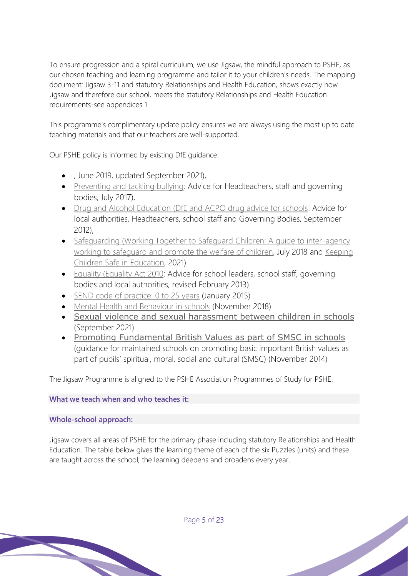To ensure progression and a spiral curriculum, we use Jigsaw, the mindful approach to PSHE, as our chosen teaching and learning programme and tailor it to your children's needs. The mapping document: Jigsaw 3-11 and statutory Relationships and Health Education, shows exactly how Jigsaw and therefore our school, meets the statutory Relationships and Health Education requirements-see appendices 1

This programme's complimentary update policy ensures we are always using the most up to date teaching materials and that our teachers are well-supported.

Our PSHE policy is informed by existing DfE guidance:

- , June 2019, updated September 2021),
- [Preventing and tackling bullying:](https://assets.publishing.service.gov.uk/government/uploads/system/uploads/attachment_data/file/623895/Preventing_and_tackling_bullying_advice.pdf) Advice for Headteachers, staff and governing bodies, July 2017),
- [Drug and Alcohol Education \(DfE and ACPO drug advice for schools:](https://assets.publishing.service.gov.uk/government/uploads/system/uploads/attachment_data/file/270169/drug_advice_for_schools.pdf) Advice for local authorities, Headteachers, school staff and Governing Bodies, September 2012),
- Safeguarding (Working Together to Safeguard Children: A guide to inter-agency [working to safeguard and promote the welfare of children,](https://assets.publishing.service.gov.uk/government/uploads/system/uploads/attachment_data/file/942454/Working_together_to_safeguard_children_inter_agency_guidance.pdf) July 2018 and [Keeping](https://assets.publishing.service.gov.uk/government/uploads/system/uploads/attachment_data/file/1021914/KCSIE_2021_September_guidance.pdf)  [Children Safe in Education,](https://assets.publishing.service.gov.uk/government/uploads/system/uploads/attachment_data/file/1021914/KCSIE_2021_September_guidance.pdf) 2021)
- [Equality \(Equality Act 2010:](https://assets.publishing.service.gov.uk/government/uploads/system/uploads/attachment_data/file/315587/Equality_Act_Advice_Final.pdf) Advice for school leaders, school staff, governing bodies and local authorities, revised February 2013).
- [SEND code of practice: 0 to 25 years](https://assets.publishing.service.gov.uk/government/uploads/system/uploads/attachment_data/file/398815/SEND_Code_of_Practice_January_2015.pdf) (January 2015)
- [Mental Health and Behaviour in schools](https://walsgraveschool-my.sharepoint.com/personal/donna_obrien_cliffordbridgeacademy_org/Documents/PSHE/Policies/•%09Mental%20Health%20and%20Behaviour%20in%20Schools%20(advice%20for%20schools)) (November 2018)
- [Sexual violence and sexual harassment between children in schools](https://assets.publishing.service.gov.uk/government/uploads/system/uploads/attachment_data/file/1014224/Sexual_violence_and_sexual_harassment_between_children_in_schools_and_colleges.pdf) (September 2021)
- [Promoting Fundamental British Values as part of SMSC in schools](https://assets.publishing.service.gov.uk/government/uploads/system/uploads/attachment_data/file/380595/SMSC_Guidance_Maintained_Schools.pdf) (guidance for maintained schools on promoting basic important British values as part of pupils' spiritual, moral, social and cultural (SMSC) (November 2014)

The Jigsaw Programme is aligned to the PSHE Association Programmes of Study for PSHE.

#### **What we teach when and who teaches it:**

#### **Whole-school approach:**

Jigsaw covers all areas of PSHE for the primary phase including statutory Relationships and Health Education. The table below gives the learning theme of each of the six Puzzles (units) and these are taught across the school; the learning deepens and broadens every year.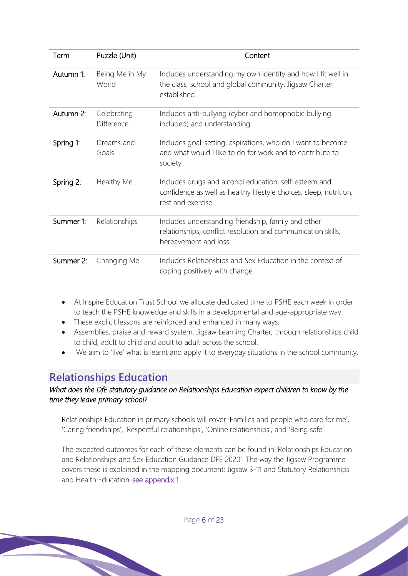| Term      | Puzzle (Unit)                    | Content                                                                                                                                          |
|-----------|----------------------------------|--------------------------------------------------------------------------------------------------------------------------------------------------|
| Autumn 1: | Being Me in My<br>World          | Includes understanding my own identity and how I fit well in<br>the class, school and global community. Jigsaw Charter<br>established.           |
| Autumn 2: | Celebrating<br><b>Difference</b> | Includes anti-bullying (cyber and homophobic bullying<br>included) and understanding                                                             |
| Spring 1: | Dreams and<br>Goals              | Includes goal-setting, aspirations, who do I want to become<br>and what would I like to do for work and to contribute to<br>society              |
| Spring 2: | Healthy Me                       | Includes drugs and alcohol education, self-esteem and<br>confidence as well as healthy lifestyle choices, sleep, nutrition,<br>rest and exercise |
| Summer 1: | Relationships                    | Includes understanding friendship, family and other<br>relationships, conflict resolution and communication skills,<br>bereavement and loss      |
| Summer 2: | Changing Me                      | Includes Relationships and Sex Education in the context of<br>coping positively with change                                                      |

- At Inspire Education Trust School we allocate dedicated time to PSHE each week in order to teach the PSHE knowledge and skills in a developmental and age-appropriate way.
- These explicit lessons are reinforced and enhanced in many ways:
- Assemblies, praise and reward system, Jigsaw Learning Charter, through relationships child to child, adult to child and adult to adult across the school.
- We aim to 'live' what is learnt and apply it to everyday situations in the school community.

# **Relationships Education**

## *What does the DfE statutory guidance on Relationships Education expect children to know by the time they leave primary school?*

Relationships Education in primary schools will cover 'Families and people who care for me', 'Caring friendships', 'Respectful relationships', 'Online relationships', and 'Being safe'.

The expected outcomes for each of these elements can be found in 'Relationships Education and Relationships and Sex Education Guidance DFE 2020'. The way the Jigsaw Programme covers these is explained in the mapping document: Jigsaw 3-11 and Statutory Relationships and Health Education-see appendix 1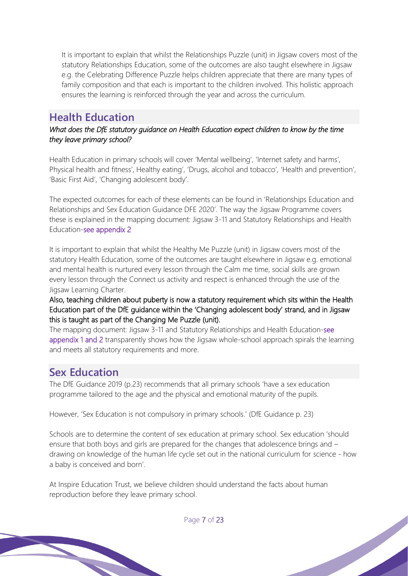It is important to explain that whilst the Relationships Puzzle (unit) in Jigsaw covers most of the statutory Relationships Education, some of the outcomes are also taught elsewhere in Jigsaw e.g. the Celebrating Difference Puzzle helps children appreciate that there are many types of family composition and that each is important to the children involved. This holistic approach ensures the learning is reinforced through the year and across the curriculum.

# **Health Education**

*What does the DfE statutory guidance on Health Education expect children to know by the time they leave primary school?* 

Health Education in primary schools will cover 'Mental wellbeing', 'Internet safety and harms', Physical health and fitness', Healthy eating', 'Drugs, alcohol and tobacco', 'Health and prevention', 'Basic First Aid', 'Changing adolescent body'.

The expected outcomes for each of these elements can be found in 'Relationships Education and Relationships and Sex Education Guidance DFE 2020'. The way the Jigsaw Programme covers these is explained in the mapping document: Jigsaw 3-11 and Statutory Relationships and Health Education-see appendix 2

It is important to explain that whilst the Healthy Me Puzzle (unit) in Jigsaw covers most of the statutory Health Education, some of the outcomes are taught elsewhere in Jigsaw e.g. emotional and mental health is nurtured every lesson through the Calm me time, social skills are grown every lesson through the Connect us activity and respect is enhanced through the use of the Jigsaw Learning Charter.

Also, teaching children about puberty is now a statutory requirement which sits within the Health Education part of the DfE guidance within the 'Changing adolescent body' strand, and in Jigsaw this is taught as part of the Changing Me Puzzle (unit).

The mapping document: Jigsaw 3-11 and Statutory Relationships and Health Education-see appendix 1 and 2 transparently shows how the Jigsaw whole-school approach spirals the learning and meets all statutory requirements and more.

# **Sex Education**

The DfE Guidance 2019 (p.23) recommends that all primary schools 'have a sex education programme tailored to the age and the physical and emotional maturity of the pupils.

However, 'Sex Education is not compulsory in primary schools.' (DfE Guidance p. 23)

Schools are to determine the content of sex education at primary school. Sex education 'should ensure that both boys and girls are prepared for the changes that adolescence brings and – drawing on knowledge of the human life cycle set out in the national curriculum for science - how a baby is conceived and born'.

At Inspire Education Trust, we believe children should understand the facts about human reproduction before they leave primary school.

Page 7 of 23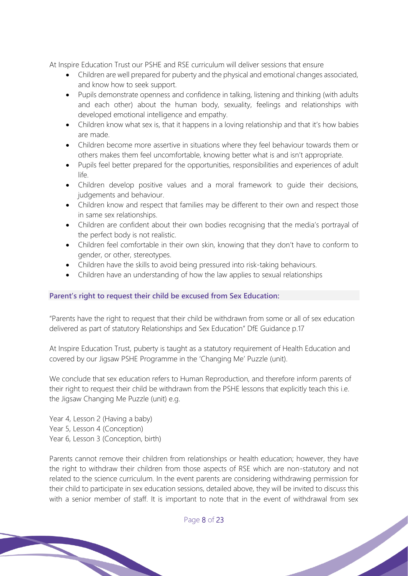At Inspire Education Trust our PSHE and RSE curriculum will deliver sessions that ensure

- Children are well prepared for puberty and the physical and emotional changes associated, and know how to seek support.
- Pupils demonstrate openness and confidence in talking, listening and thinking (with adults and each other) about the human body, sexuality, feelings and relationships with developed emotional intelligence and empathy.
- Children know what sex is, that it happens in a loving relationship and that it's how babies are made.
- Children become more assertive in situations where they feel behaviour towards them or others makes them feel uncomfortable, knowing better what is and isn't appropriate.
- Pupils feel better prepared for the opportunities, responsibilities and experiences of adult life.
- Children develop positive values and a moral framework to guide their decisions, judgements and behaviour.
- Children know and respect that families may be different to their own and respect those in same sex relationships.
- Children are confident about their own bodies recognising that the media's portrayal of the perfect body is not realistic.
- Children feel comfortable in their own skin, knowing that they don't have to conform to gender, or other, stereotypes.
- Children have the skills to avoid being pressured into risk-taking behaviours.
- Children have an understanding of how the law applies to sexual relationships

#### **Parent's right to request their child be excused from Sex Education:**

"Parents have the right to request that their child be withdrawn from some or all of sex education delivered as part of statutory Relationships and Sex Education" DfE Guidance p.17

At Inspire Education Trust, puberty is taught as a statutory requirement of Health Education and covered by our Jigsaw PSHE Programme in the 'Changing Me' Puzzle (unit).

We conclude that sex education refers to Human Reproduction, and therefore inform parents of their right to request their child be withdrawn from the PSHE lessons that explicitly teach this i.e. the Jigsaw Changing Me Puzzle (unit) e.g.

Year 4, Lesson 2 (Having a baby) Year 5, Lesson 4 (Conception) Year 6, Lesson 3 (Conception, birth)

Parents cannot remove their children from relationships or health education; however, they have the right to withdraw their children from those aspects of RSE which are non-statutory and not related to the science curriculum. In the event parents are considering withdrawing permission for their child to participate in sex education sessions, detailed above, they will be invited to discuss this with a senior member of staff. It is important to note that in the event of withdrawal from sex

Page 8 of 23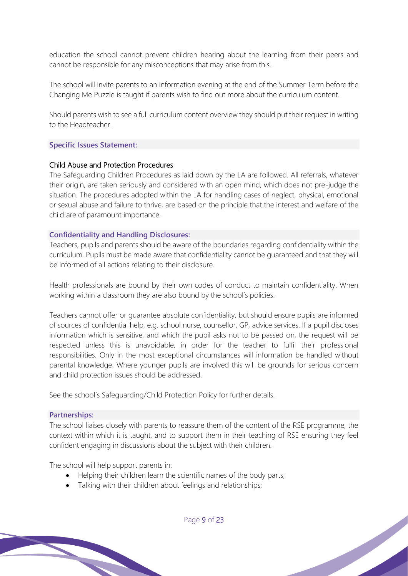education the school cannot prevent children hearing about the learning from their peers and cannot be responsible for any misconceptions that may arise from this.

The school will invite parents to an information evening at the end of the Summer Term before the Changing Me Puzzle is taught if parents wish to find out more about the curriculum content.

Should parents wish to see a full curriculum content overview they should put their request in writing to the Headteacher.

#### **Specific Issues Statement:**

#### Child Abuse and Protection Procedures

The Safeguarding Children Procedures as laid down by the LA are followed. All referrals, whatever their origin, are taken seriously and considered with an open mind, which does not pre-judge the situation. The procedures adopted within the LA for handling cases of neglect, physical, emotional or sexual abuse and failure to thrive, are based on the principle that the interest and welfare of the child are of paramount importance.

#### **Confidentiality and Handling Disclosures:**

Teachers, pupils and parents should be aware of the boundaries regarding confidentiality within the curriculum. Pupils must be made aware that confidentiality cannot be guaranteed and that they will be informed of all actions relating to their disclosure.

Health professionals are bound by their own codes of conduct to maintain confidentiality. When working within a classroom they are also bound by the school's policies.

Teachers cannot offer or guarantee absolute confidentiality, but should ensure pupils are informed of sources of confidential help, e.g. school nurse, counsellor, GP, advice services. If a pupil discloses information which is sensitive, and which the pupil asks not to be passed on, the request will be respected unless this is unavoidable, in order for the teacher to fulfil their professional responsibilities. Only in the most exceptional circumstances will information be handled without parental knowledge. Where younger pupils are involved this will be grounds for serious concern and child protection issues should be addressed.

See the school's Safeguarding/Child Protection Policy for further details.

#### **Partnerships:**

The school liaises closely with parents to reassure them of the content of the RSE programme, the context within which it is taught, and to support them in their teaching of RSE ensuring they feel confident engaging in discussions about the subject with their children.

The school will help support parents in:

- Helping their children learn the scientific names of the body parts;
- Talking with their children about feelings and relationships;

Page 9 of 23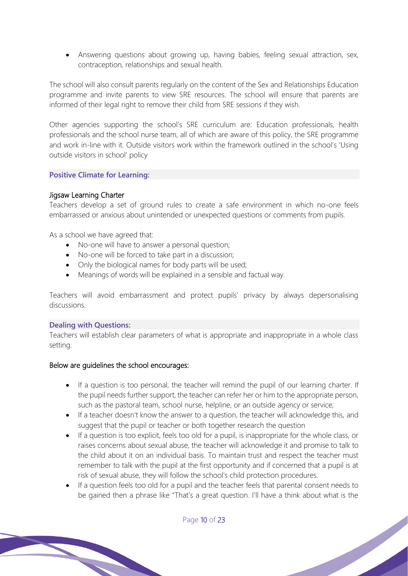• Answering questions about growing up, having babies, feeling sexual attraction, sex, contraception, relationships and sexual health.

The school will also consult parents regularly on the content of the Sex and Relationships Education programme and invite parents to view SRE resources. The school will ensure that parents are informed of their legal right to remove their child from SRE sessions if they wish.

Other agencies supporting the school's SRE curriculum are: Education professionals, health professionals and the school nurse team, all of which are aware of this policy, the SRE programme and work in-line with it. Outside visitors work within the framework outlined in the school's 'Using outside visitors in school' policy

#### **Positive Climate for Learning:**

#### Jigsaw Learning Charter

Teachers develop a set of ground rules to create a safe environment in which no-one feels embarrassed or anxious about unintended or unexpected questions or comments from pupils.

As a school we have agreed that:

- No-one will have to answer a personal question;
- No-one will be forced to take part in a discussion;
- Only the biological names for body parts will be used;
- Meanings of words will be explained in a sensible and factual way.

Teachers will avoid embarrassment and protect pupils' privacy by always depersonalising discussions.

#### **Dealing with Questions:**

Teachers will establish clear parameters of what is appropriate and inappropriate in a whole class setting.

#### Below are guidelines the school encourages:

- If a question is too personal, the teacher will remind the pupil of our learning charter. If the pupil needs further support, the teacher can refer her or him to the appropriate person, such as the pastoral team, school nurse, helpline, or an outside agency or service;
- If a teacher doesn't know the answer to a question, the teacher will acknowledge this, and suggest that the pupil or teacher or both together research the question
- If a question is too explicit, feels too old for a pupil, is inappropriate for the whole class, or raises concerns about sexual abuse, the teacher will acknowledge it and promise to talk to the child about it on an individual basis. To maintain trust and respect the teacher must remember to talk with the pupil at the first opportunity and if concerned that a pupil is at risk of sexual abuse, they will follow the school's child protection procedures.
- If a question feels too old for a pupil and the teacher feels that parental consent needs to be gained then a phrase like "That's a great question. I'll have a think about what is the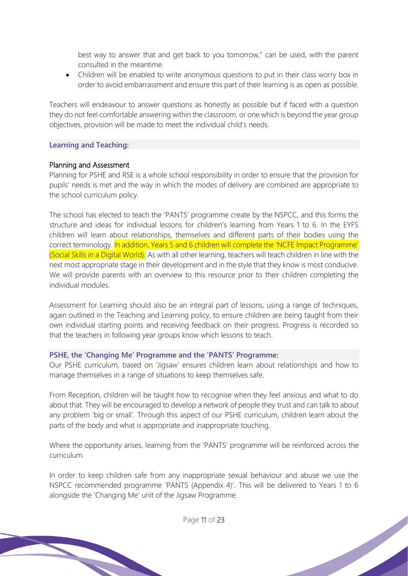best way to answer that and get back to you tomorrow," can be used, with the parent consulted in the meantime.

• Children will be enabled to write anonymous questions to put in their class worry box in order to avoid embarrassment and ensure this part of their learning is as open as possible.

Teachers will endeavour to answer questions as honestly as possible but if faced with a question they do not feel comfortable answering within the classroom, or one which is beyond the year group objectives, provision will be made to meet the individual child's needs.

#### **Learning and Teaching:**

#### Planning and Assessment

Planning for PSHE and RSE is a whole school responsibility in order to ensure that the provision for pupils' needs is met and the way in which the modes of delivery are combined are appropriate to the school curriculum policy.

The school has elected to teach the 'PANTS' programme create by the NSPCC, and this forms the structure and ideas for individual lessons for children's learning from Years 1 to 6. In the EYFS children will learn about relationships, themselves and different parts of their bodies using the correct terminology. In addition, Years 5 and 6 children will complete the 'NCFE Impact Programme' (Social Skills in a Digital World). As with all other learning, teachers will teach children in line with the next most appropriate stage in their development and in the style that they know is most conducive. We will provide parents with an overview to this resource prior to their children completing the individual modules.

Assessment for Learning should also be an integral part of lessons, using a range of techniques, again outlined in the Teaching and Learning policy, to ensure children are being taught from their own individual starting points and receiving feedback on their progress. Progress is recorded so that the teachers in following year groups know which lessons to teach.

#### **PSHE, the 'Changing Me' Programme and the 'PANTS' Programme:**

Our PSHE curriculum, based on 'Jigsaw' ensures children learn about relationships and how to manage themselves in a range of situations to keep themselves safe.

From Reception, children will be taught how to recognise when they feel anxious and what to do about that. They will be encouraged to develop a network of people they trust and can talk to about any problem 'big or small'. Through this aspect of our PSHE curriculum, children learn about the parts of the body and what is appropriate and inappropriate touching.

Where the opportunity arises, learning from the 'PANTS' programme will be reinforced across the curriculum.

In order to keep children safe from any inappropriate sexual behaviour and abuse we use the NSPCC recommended programme 'PANTS (Appendix 4)'. This will be delivered to Years 1 to 6 alongside the 'Changing Me' unit of the Jigsaw Programme.

Page 11 of 23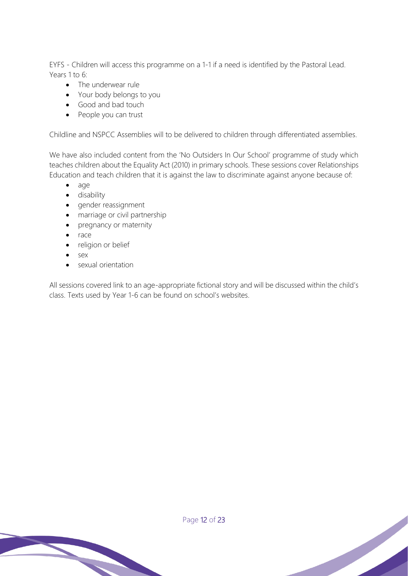EYFS - Children will access this programme on a 1-1 if a need is identified by the Pastoral Lead. Years 1 to 6:

- The underwear rule
- Your body belongs to you
- Good and bad touch
- People you can trust

Childline and NSPCC Assemblies will to be delivered to children through differentiated assemblies.

We have also included content from the 'No Outsiders In Our School' programme of study which teaches children about the Equality Act (2010) in primary schools. These sessions cover Relationships Education and teach children that it is against the law to discriminate against anyone because of:

- age
- disability
- gender reassignment
- marriage or civil partnership
- pregnancy or maternity
- race
- religion or belief
- sex
- sexual orientation

All sessions covered link to an age-appropriate fictional story and will be discussed within the child's class. Texts used by Year 1-6 can be found on school's websites.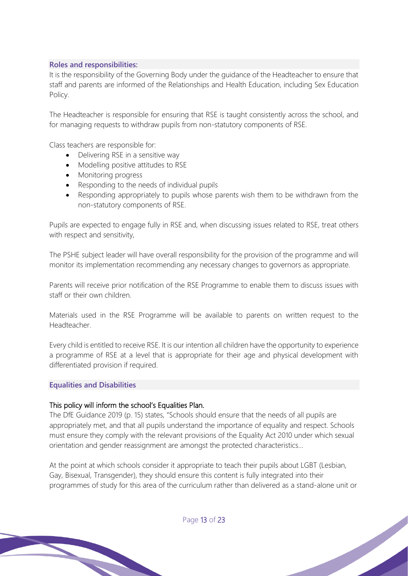#### **Roles and responsibilities:**

It is the responsibility of the Governing Body under the guidance of the Headteacher to ensure that staff and parents are informed of the Relationships and Health Education, including Sex Education Policy.

The Headteacher is responsible for ensuring that RSE is taught consistently across the school, and for managing requests to withdraw pupils from non-statutory components of RSE.

Class teachers are responsible for:

- Delivering RSE in a sensitive way
- Modelling positive attitudes to RSE
- Monitoring progress
- Responding to the needs of individual pupils
- Responding appropriately to pupils whose parents wish them to be withdrawn from the non-statutory components of RSE.

Pupils are expected to engage fully in RSE and, when discussing issues related to RSE, treat others with respect and sensitivity,

The PSHE subject leader will have overall responsibility for the provision of the programme and will monitor its implementation recommending any necessary changes to governors as appropriate.

Parents will receive prior notification of the RSE Programme to enable them to discuss issues with staff or their own children.

Materials used in the RSE Programme will be available to parents on written request to the Headteacher.

Every child is entitled to receive RSE. It is our intention all children have the opportunity to experience a programme of RSE at a level that is appropriate for their age and physical development with differentiated provision if required.

#### **Equalities and Disabilities**

#### This policy will inform the school's Equalities Plan.

The DfE Guidance 2019 (p. 15) states, "Schools should ensure that the needs of all pupils are appropriately met, and that all pupils understand the importance of equality and respect. Schools must ensure they comply with the relevant provisions of the Equality Act 2010 under which sexual orientation and gender reassignment are amongst the protected characteristics…

At the point at which schools consider it appropriate to teach their pupils about LGBT (Lesbian, Gay, Bisexual, Transgender), they should ensure this content is fully integrated into their programmes of study for this area of the curriculum rather than delivered as a stand-alone unit or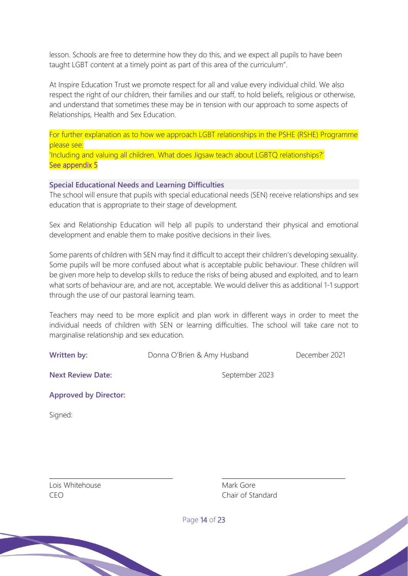lesson. Schools are free to determine how they do this, and we expect all pupils to have been taught LGBT content at a timely point as part of this area of the curriculum".

At Inspire Education Trust we promote respect for all and value every individual child. We also respect the right of our children, their families and our staff, to hold beliefs, religious or otherwise, and understand that sometimes these may be in tension with our approach to some aspects of Relationships, Health and Sex Education.

For further explanation as to how we approach LGBT relationships in the PSHE (RSHE) Programme please see:

'Including and valuing all children. What does Jigsaw teach about LGBTQ relationships?' See appendix 5

#### **Special Educational Needs and Learning Difficulties**

The school will ensure that pupils with special educational needs (SEN) receive relationships and sex education that is appropriate to their stage of development.

Sex and Relationship Education will help all pupils to understand their physical and emotional development and enable them to make positive decisions in their lives.

Some parents of children with SEN may find it difficult to accept their children's developing sexuality. Some pupils will be more confused about what is acceptable public behaviour. These children will be given more help to develop skills to reduce the risks of being abused and exploited, and to learn what sorts of behaviour are, and are not, acceptable. We would deliver this as additional 1-1 support through the use of our pastoral learning team.

Teachers may need to be more explicit and plan work in different ways in order to meet the individual needs of children with SEN or learning difficulties. The school will take care not to marginalise relationship and sex education.

**Written by:** Donna O'Brien & Amy Husband December 2021

**Next Review Date:** September 2023

**Approved by Director:**

Signed:

Lois Whitehouse **Mark Gore** Mark Gore

CEO Chair of Standard

Page 14 of 23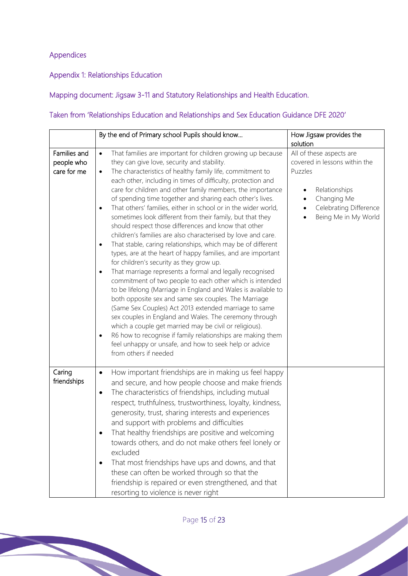## Appendices

Appendix 1: Relationships Education

Mapping document: Jigsaw 3-11 and Statutory Relationships and Health Education.

## Taken from 'Relationships Education and Relationships and Sex Education Guidance DFE 2020'

|                                           | By the end of Primary school Pupils should know                                                                                                                                                                                                                                                                                                                                                                                                                                                                                                                                                                                                                                                                                                                                                                                                                                                                                                                                                                                                                                                                                                                                                                                                                                                                                                                                                                                             | How Jigsaw provides the<br>solution                                                                                                                    |  |
|-------------------------------------------|---------------------------------------------------------------------------------------------------------------------------------------------------------------------------------------------------------------------------------------------------------------------------------------------------------------------------------------------------------------------------------------------------------------------------------------------------------------------------------------------------------------------------------------------------------------------------------------------------------------------------------------------------------------------------------------------------------------------------------------------------------------------------------------------------------------------------------------------------------------------------------------------------------------------------------------------------------------------------------------------------------------------------------------------------------------------------------------------------------------------------------------------------------------------------------------------------------------------------------------------------------------------------------------------------------------------------------------------------------------------------------------------------------------------------------------------|--------------------------------------------------------------------------------------------------------------------------------------------------------|--|
| Families and<br>people who<br>care for me | That families are important for children growing up because<br>$\bullet$<br>they can give love, security and stability.<br>The characteristics of healthy family life, commitment to<br>$\bullet$<br>each other, including in times of difficulty, protection and<br>care for children and other family members, the importance<br>of spending time together and sharing each other's lives.<br>That others' families, either in school or in the wider world,<br>$\bullet$<br>sometimes look different from their family, but that they<br>should respect those differences and know that other<br>children's families are also characterised by love and care.<br>That stable, caring relationships, which may be of different<br>٠<br>types, are at the heart of happy families, and are important<br>for children's security as they grow up.<br>That marriage represents a formal and legally recognised<br>٠<br>commitment of two people to each other which is intended<br>to be lifelong (Marriage in England and Wales is available to<br>both opposite sex and same sex couples. The Marriage<br>(Same Sex Couples) Act 2013 extended marriage to same<br>sex couples in England and Wales. The ceremony through<br>which a couple get married may be civil or religious).<br>R6 how to recognise if family relationships are making them<br>٠<br>feel unhappy or unsafe, and how to seek help or advice<br>from others if needed | All of these aspects are<br>covered in lessons within the<br>Puzzles<br>Relationships<br>Changing Me<br>Celebrating Difference<br>Being Me in My World |  |
| Caring<br>friendships                     | How important friendships are in making us feel happy<br>٠<br>and secure, and how people choose and make friends<br>The characteristics of friendships, including mutual<br>٠<br>respect, truthfulness, trustworthiness, loyalty, kindness,<br>generosity, trust, sharing interests and experiences<br>and support with problems and difficulties<br>That healthy friendships are positive and welcoming<br>towards others, and do not make others feel lonely or<br>excluded<br>That most friendships have ups and downs, and that<br>٠<br>these can often be worked through so that the<br>friendship is repaired or even strengthened, and that<br>resorting to violence is never right                                                                                                                                                                                                                                                                                                                                                                                                                                                                                                                                                                                                                                                                                                                                                  |                                                                                                                                                        |  |

Page 15 of 23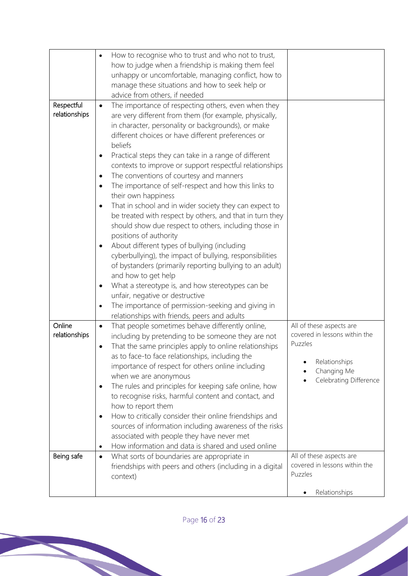|                             | How to recognise who to trust and who not to trust,<br>how to judge when a friendship is making them feel<br>unhappy or uncomfortable, managing conflict, how to<br>manage these situations and how to seek help or<br>advice from others, if needed                                                                                                                                                                                                                                                                                                                                                                                                                                                                                                                                                                                                                                                                                                                                                                                                                                                                                                                    |                                                                                                                                |
|-----------------------------|-------------------------------------------------------------------------------------------------------------------------------------------------------------------------------------------------------------------------------------------------------------------------------------------------------------------------------------------------------------------------------------------------------------------------------------------------------------------------------------------------------------------------------------------------------------------------------------------------------------------------------------------------------------------------------------------------------------------------------------------------------------------------------------------------------------------------------------------------------------------------------------------------------------------------------------------------------------------------------------------------------------------------------------------------------------------------------------------------------------------------------------------------------------------------|--------------------------------------------------------------------------------------------------------------------------------|
| Respectful<br>relationships | The importance of respecting others, even when they<br>$\bullet$<br>are very different from them (for example, physically,<br>in character, personality or backgrounds), or make<br>different choices or have different preferences or<br>beliefs<br>Practical steps they can take in a range of different<br>٠<br>contexts to improve or support respectful relationships<br>The conventions of courtesy and manners<br>$\bullet$<br>The importance of self-respect and how this links to<br>٠<br>their own happiness<br>That in school and in wider society they can expect to<br>$\bullet$<br>be treated with respect by others, and that in turn they<br>should show due respect to others, including those in<br>positions of authority<br>About different types of bullying (including<br>$\bullet$<br>cyberbullying), the impact of bullying, responsibilities<br>of bystanders (primarily reporting bullying to an adult)<br>and how to get help<br>What a stereotype is, and how stereotypes can be<br>٠<br>unfair, negative or destructive<br>The importance of permission-seeking and giving in<br>$\bullet$<br>relationships with friends, peers and adults |                                                                                                                                |
| Online<br>relationships     | That people sometimes behave differently online,<br>$\bullet$<br>including by pretending to be someone they are not<br>That the same principles apply to online relationships<br>٠<br>as to face-to face relationships, including the<br>importance of respect for others online including<br>when we are anonymous<br>The rules and principles for keeping safe online, how<br>$\bullet$<br>to recognise risks, harmful content and contact, and<br>how to report them<br>How to critically consider their online friendships and<br>$\bullet$<br>sources of information including awareness of the risks<br>associated with people they have never met<br>How information and data is shared and used online<br>$\bullet$                                                                                                                                                                                                                                                                                                                                                                                                                                             | All of these aspects are<br>covered in lessons within the<br>Puzzles<br>Relationships<br>Changing Me<br>Celebrating Difference |
| Being safe                  | What sorts of boundaries are appropriate in<br>$\bullet$<br>friendships with peers and others (including in a digital<br>context)                                                                                                                                                                                                                                                                                                                                                                                                                                                                                                                                                                                                                                                                                                                                                                                                                                                                                                                                                                                                                                       | All of these aspects are<br>covered in lessons within the<br>Puzzles<br>Relationships                                          |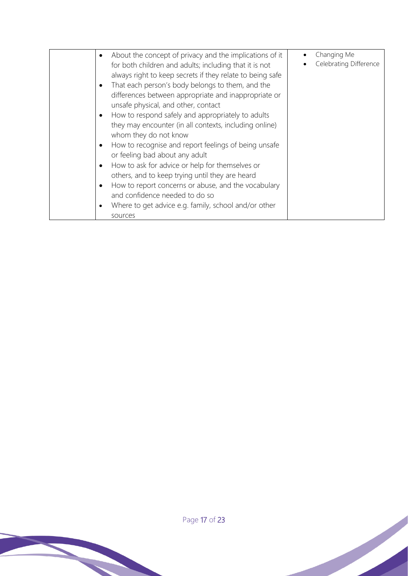|           | About the concept of privacy and the implications of it   | Changing Me            |
|-----------|-----------------------------------------------------------|------------------------|
|           | for both children and adults; including that it is not    | Celebrating Difference |
|           | always right to keep secrets if they relate to being safe |                        |
| $\bullet$ | That each person's body belongs to them, and the          |                        |
|           | differences between appropriate and inappropriate or      |                        |
|           | unsafe physical, and other, contact                       |                        |
| $\bullet$ | How to respond safely and appropriately to adults         |                        |
|           | they may encounter (in all contexts, including online)    |                        |
|           | whom they do not know                                     |                        |
| $\bullet$ | How to recognise and report feelings of being unsafe      |                        |
|           | or feeling bad about any adult                            |                        |
| ٠         | How to ask for advice or help for themselves or           |                        |
|           | others, and to keep trying until they are heard           |                        |
| $\bullet$ | How to report concerns or abuse, and the vocabulary       |                        |
|           | and confidence needed to do so                            |                        |
| ٠         | Where to get advice e.g. family, school and/or other      |                        |
|           | sources                                                   |                        |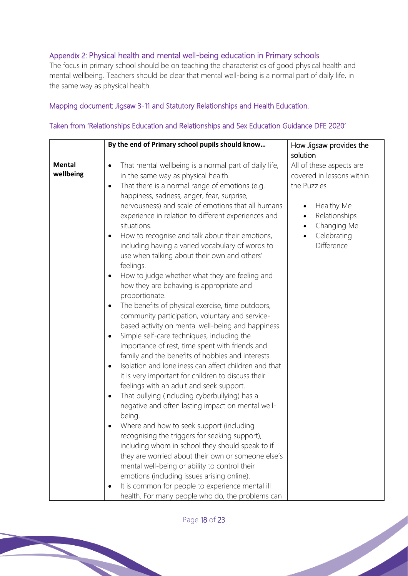## Appendix 2: Physical health and mental well-being education in Primary schools

The focus in primary school should be on teaching the characteristics of good physical health and mental wellbeing. Teachers should be clear that mental well-being is a normal part of daily life, in the same way as physical health.

#### Mapping document: Jigsaw 3-11 and Statutory Relationships and Health Education.

#### Taken from 'Relationships Education and Relationships and Sex Education Guidance DFE 2020'

Page 18 of 23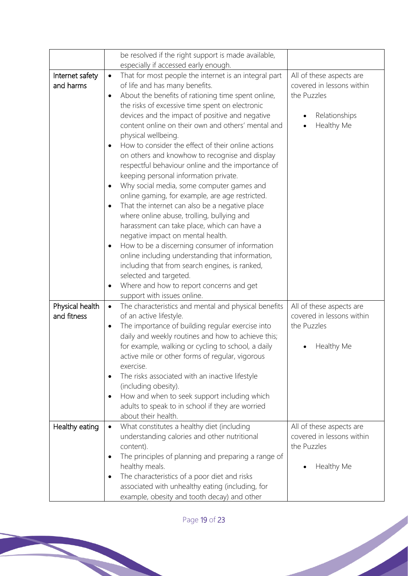|                 | be resolved if the right support is made available,                |                           |
|-----------------|--------------------------------------------------------------------|---------------------------|
|                 | especially if accessed early enough.                               |                           |
| Internet safety | That for most people the internet is an integral part<br>$\bullet$ | All of these aspects are  |
| and harms       | of life and has many benefits.                                     | covered in lessons within |
|                 | About the benefits of rationing time spent online,<br>$\bullet$    | the Puzzles               |
|                 | the risks of excessive time spent on electronic                    |                           |
|                 | devices and the impact of positive and negative                    | Relationships             |
|                 | content online on their own and others' mental and                 | Healthy Me                |
|                 | physical wellbeing.                                                |                           |
|                 | How to consider the effect of their online actions<br>$\bullet$    |                           |
|                 | on others and knowhow to recognise and display                     |                           |
|                 | respectful behaviour online and the importance of                  |                           |
|                 | keeping personal information private.                              |                           |
|                 | Why social media, some computer games and<br>$\bullet$             |                           |
|                 | online gaming, for example, are age restricted.                    |                           |
|                 | That the internet can also be a negative place<br>$\bullet$        |                           |
|                 | where online abuse, trolling, bullying and                         |                           |
|                 | harassment can take place, which can have a                        |                           |
|                 | negative impact on mental health.                                  |                           |
|                 | How to be a discerning consumer of information<br>٠                |                           |
|                 | online including understanding that information,                   |                           |
|                 | including that from search engines, is ranked,                     |                           |
|                 | selected and targeted.<br>Where and how to report concerns and get |                           |
|                 | support with issues online.                                        |                           |
| Physical health | The characteristics and mental and physical benefits<br>$\bullet$  | All of these aspects are  |
| and fitness     | of an active lifestyle.                                            | covered in lessons within |
|                 | The importance of building regular exercise into<br>٠              | the Puzzles               |
|                 | daily and weekly routines and how to achieve this;                 |                           |
|                 | for example, walking or cycling to school, a daily                 | Healthy Me                |
|                 | active mile or other forms of regular, vigorous                    |                           |
|                 | exercise.                                                          |                           |
|                 | The risks associated with an inactive lifestyle<br>٠               |                           |
|                 | (including obesity).                                               |                           |
|                 | How and when to seek support including which<br>$\bullet$          |                           |
|                 | adults to speak to in school if they are worried                   |                           |
|                 | about their health.                                                |                           |
| Healthy eating  | What constitutes a healthy diet (including<br>$\bullet$            | All of these aspects are  |
|                 | understanding calories and other nutritional                       | covered in lessons within |
|                 | content).                                                          | the Puzzles               |
|                 | The principles of planning and preparing a range of<br>٠           |                           |
|                 | healthy meals.                                                     | Healthy Me                |
|                 | The characteristics of a poor diet and risks<br>$\bullet$          |                           |
|                 | associated with unhealthy eating (including, for                   |                           |
|                 | example, obesity and tooth decay) and other                        |                           |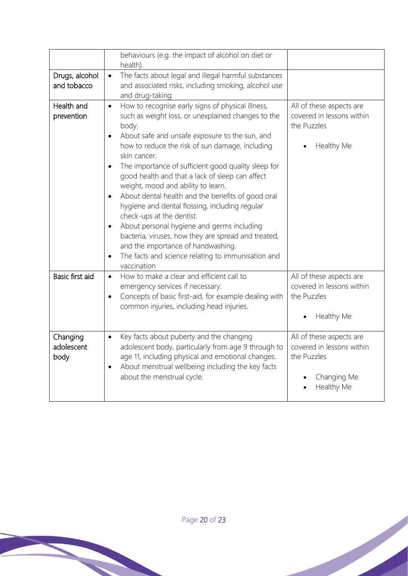|                                | behaviours (e.g. the impact of alcohol on diet or<br>health).                                                                                                                                                                                                                                                                                                                                                                                                                                                                                                                                                                                                                                                                                                                                                           |                                                                                                   |
|--------------------------------|-------------------------------------------------------------------------------------------------------------------------------------------------------------------------------------------------------------------------------------------------------------------------------------------------------------------------------------------------------------------------------------------------------------------------------------------------------------------------------------------------------------------------------------------------------------------------------------------------------------------------------------------------------------------------------------------------------------------------------------------------------------------------------------------------------------------------|---------------------------------------------------------------------------------------------------|
| Drugs, alcohol<br>and tobacco  | The facts about legal and illegal harmful substances<br>$\bullet$<br>and associated risks, including smoking, alcohol use<br>and drug-taking                                                                                                                                                                                                                                                                                                                                                                                                                                                                                                                                                                                                                                                                            |                                                                                                   |
| Health and<br>prevention       | How to recognise early signs of physical illness,<br>$\bullet$<br>such as weight loss, or unexplained changes to the<br>body.<br>About safe and unsafe exposure to the sun, and<br>$\bullet$<br>how to reduce the risk of sun damage, including<br>skin cancer.<br>The importance of sufficient good quality sleep for<br>$\bullet$<br>good health and that a lack of sleep can affect<br>weight, mood and ability to learn.<br>About dental health and the benefits of good oral<br>$\bullet$<br>hygiene and dental flossing, including regular<br>check-ups at the dentist.<br>About personal hygiene and germs including<br>$\bullet$<br>bacteria, viruses, how they are spread and treated,<br>and the importance of handwashing.<br>The facts and science relating to immunisation and<br>$\bullet$<br>vaccination | All of these aspects are<br>covered in lessons within<br>the Puzzles<br>Healthy Me                |
| Basic first aid                | How to make a clear and efficient call to<br>$\bullet$<br>emergency services if necessary.<br>Concepts of basic first-aid, for example dealing with<br>$\bullet$<br>common injuries, including head injuries.                                                                                                                                                                                                                                                                                                                                                                                                                                                                                                                                                                                                           | All of these aspects are<br>covered in lessons within<br>the Puzzles<br>Healthy Me                |
| Changing<br>adolescent<br>body | Key facts about puberty and the changing<br>$\bullet$<br>adolescent body, particularly from age 9 through to<br>age 11, including physical and emotional changes.<br>About menstrual wellbeing including the key facts<br>$\bullet$<br>about the menstrual cycle.                                                                                                                                                                                                                                                                                                                                                                                                                                                                                                                                                       | All of these aspects are<br>covered in lessons within<br>the Puzzles<br>Changing Me<br>Healthy Me |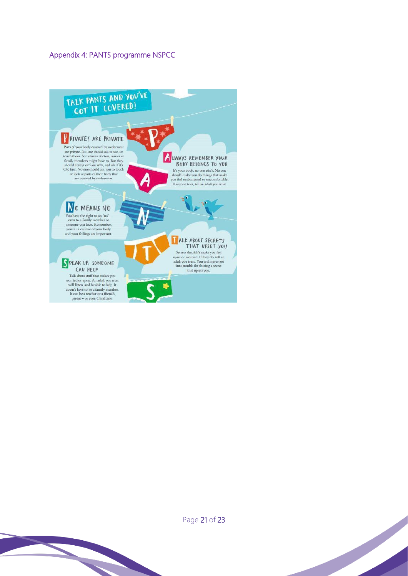#### Appendix 4: PANTS programme NSPCC





Page 21 of 23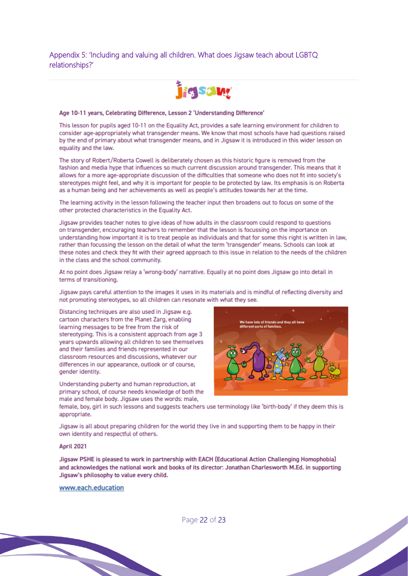#### Appendix 5: 'Including and valuing all children. What does Jigsaw teach about LGBTQ relationships?'



#### Age 10-11 years, Celebrating Difference, Lesson 2 'Understanding Difference'

This lesson for pupils aged 10-11 on the Equality Act, provides a safe learning environment for children to consider age-appropriately what transgender means. We know that most schools have had questions raised by the end of primary about what transgender means, and in Jigsaw it is introduced in this wider lesson on equality and the law.

The story of Robert/Roberta Cowell is deliberately chosen as this historic figure is removed from the fashion and media hype that influences so much current discussion around transgender. This means that it allows for a more age-appropriate discussion of the difficulties that someone who does not fit into society's stereotypes might feel, and why it is important for people to be protected by law. Its emphasis is on Roberta as a human being and her achievements as well as people's attitudes towards her at the time.

The learning activity in the lesson following the teacher input then broadens out to focus on some of the other protected characteristics in the Equality Act.

Jigsaw provides teacher notes to give ideas of how adults in the classroom could respond to questions on transgender, encouraging teachers to remember that the lesson is focussing on the importance on understanding how important it is to treat people as individuals and that for some this right is written in law. rather than focussing the lesson on the detail of what the term 'transgender' means. Schools can look at these notes and check they fit with their agreed approach to this issue in relation to the needs of the children in the class and the school community.

At no point does Jigsaw relay a 'wrong-body' narrative. Equally at no point does Jigsaw go into detail in terms of transitioning.

Jigsaw pays careful attention to the images it uses in its materials and is mindful of reflecting diversity and not promoting stereotypes, so all children can resonate with what they see.

Distancing techniques are also used in Jigsaw e.g. cartoon characters from the Planet Zarg, enabling learning messages to be free from the risk of stereotyping. This is a consistent approach from age 3 vears upwards allowing all children to see themselves and their families and friends represented in our classroom resources and discussions, whatever our differences in our appearance, outlook or of course, gender identity.

Understanding puberty and human reproduction, at primary school, of course needs knowledge of both the male and female body. Jigsaw uses the words: male,



female, boy, girl in such lessons and suggests teachers use terminology like 'birth-body' if they deem this is appropriate.

Jigsaw is all about preparing children for the world they live in and supporting them to be happy in their own identity and respectful of others.

#### April 2021

Jigsaw PSHE is pleased to work in partnership with EACH (Educational Action Challenging Homophobia) and acknowledges the national work and books of its director: Jonathan Charlesworth M.Ed. in supporting Jigsaw's philosophy to value every child.

#### www.each.education